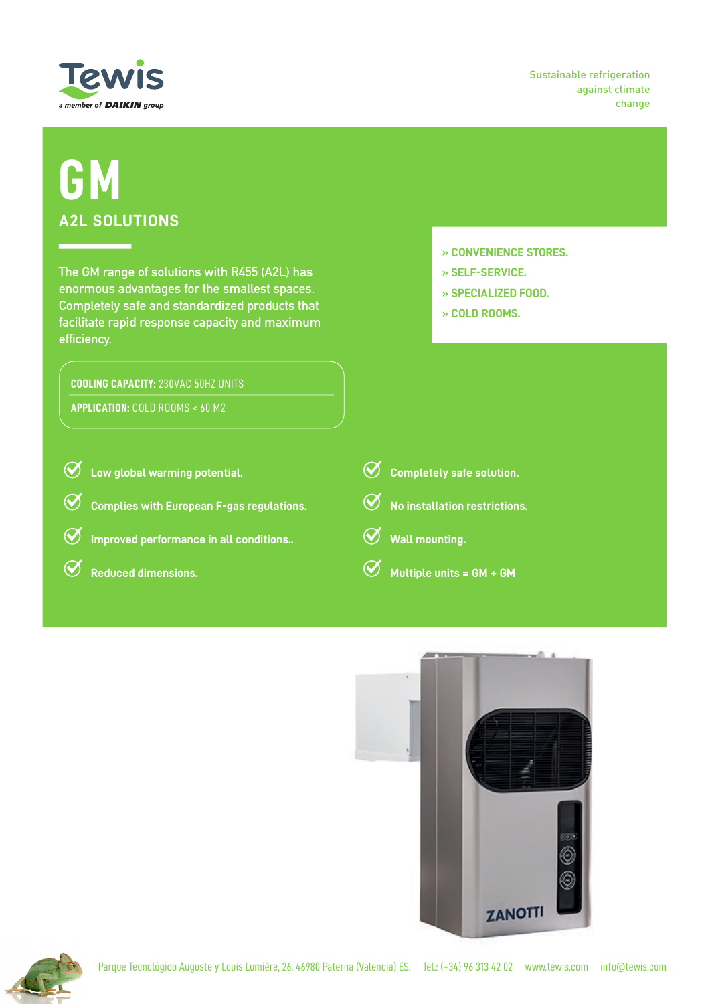

Sustainable refrigeration against climate change

## **GM A2L SOLUTIONS**

**The GM range of solutions with R455 (A2L) has enormous advantages for the smallest spaces. Completely safe and standardized products that facilitate rapid response capacity and maximum efficiency.**

## **COOLING CAPACITY:** 230VAC 50HZ UNITS

**APPLICATION:** COLD ROOMS < 60 M2

- **» CONVENIENCE STORES.**
- **» SELF-SERVICE.**
- **» SPECIALIZED FOOD.**
- **» COLD ROOMS.**

 $\oslash$ **Low global warming potential.**  $\oslash$ **Completely safe solution.**  $\bm{Q}$ **Complies with European F-gas regulations. No installation restrictions.**  $\bm{Q}$  $\bm{\varnothing}$ **Improved performance in all conditions.. Wall mounting.**  $\bm Q$  $\bm{\varnothing}$ **Reduced dimensions. Multiple units = GM + GM**